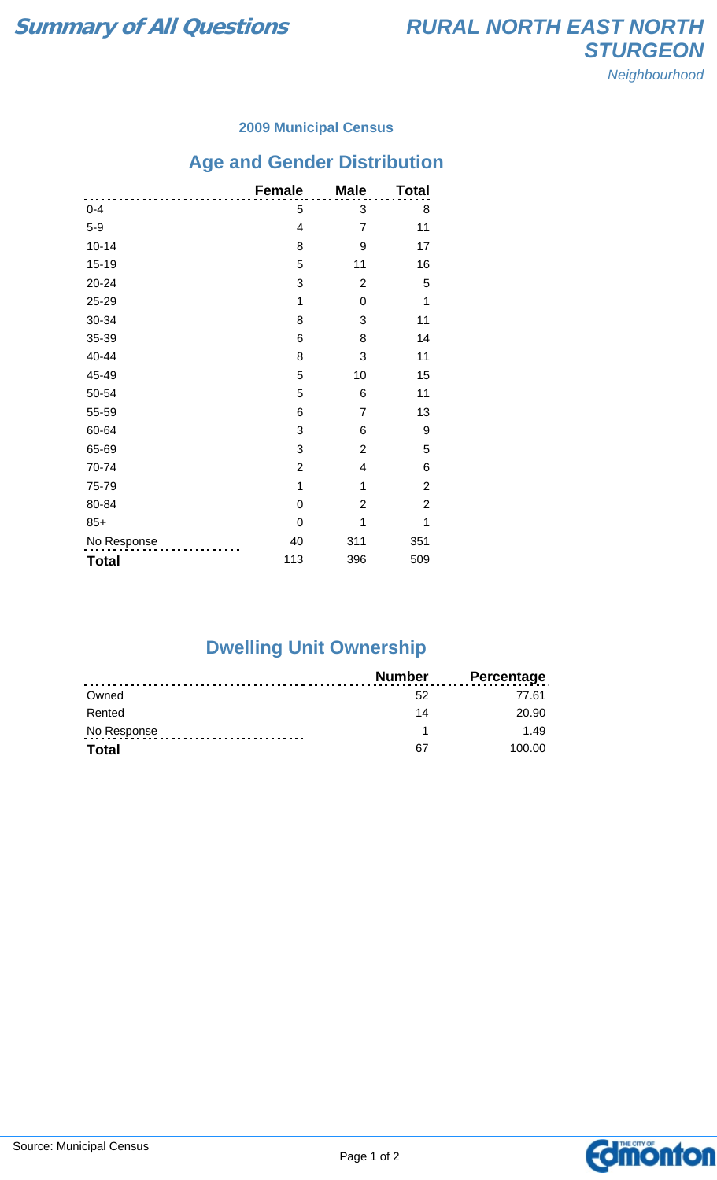### **2009 Municipal Census**

# **Age and Gender Distribution**

|              | <b>Female</b>  | <b>Male</b>    | <b>Total</b>   |
|--------------|----------------|----------------|----------------|
| $0 - 4$      | 5              | 3              | 8              |
| $5-9$        | 4              | $\overline{7}$ | 11             |
| $10 - 14$    | 8              | 9              | 17             |
| $15 - 19$    | 5              | 11             | 16             |
| 20-24        | 3              | $\overline{2}$ | 5              |
| 25-29        | 1              | 0              | 1              |
| 30-34        | 8              | 3              | 11             |
| 35-39        | 6              | 8              | 14             |
| 40-44        | 8              | 3              | 11             |
| 45-49        | 5              | 10             | 15             |
| 50-54        | 5              | 6              | 11             |
| 55-59        | 6              | $\overline{7}$ | 13             |
| 60-64        | 3              | 6              | 9              |
| 65-69        | 3              | $\overline{2}$ | 5              |
| 70-74        | $\overline{c}$ | 4              | 6              |
| 75-79        | 1              | 1              | $\overline{2}$ |
| 80-84        | $\mathbf 0$    | $\overline{2}$ | $\overline{c}$ |
| $85+$        | 0              | 1              | 1              |
| No Response  | 40             | 311            | 351            |
| <b>Total</b> | 113            | 396            | 509            |

### **Dwelling Unit Ownership**

|              | Number | Percentage |
|--------------|--------|------------|
| Owned        | 52     | 77.61      |
| Rented       | 14     | 20.90      |
| No Response  |        | 149        |
| <b>Total</b> | 67     | 100.00     |